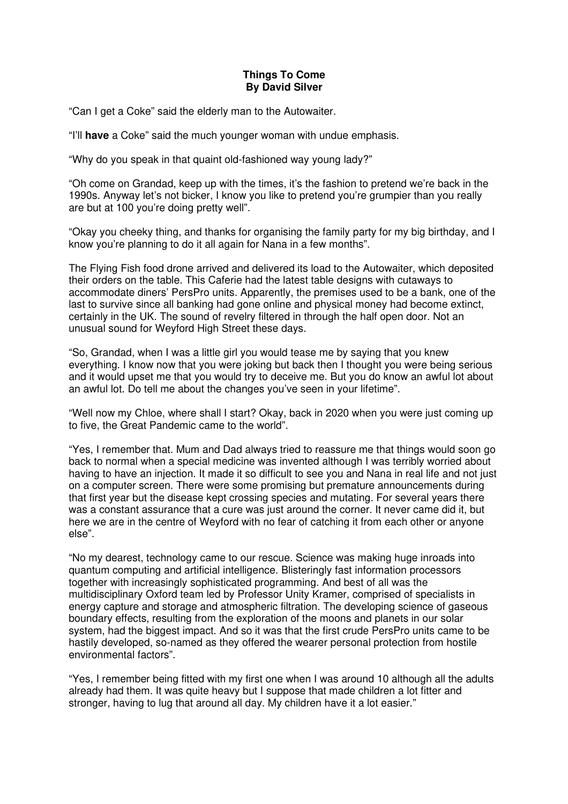## **Things To Come By David Silver**

"Can I get a Coke" said the elderly man to the Autowaiter.

"I'll **have** a Coke" said the much younger woman with undue emphasis.

"Why do you speak in that quaint old-fashioned way young lady?"

"Oh come on Grandad, keep up with the times, it's the fashion to pretend we're back in the 1990s. Anyway let's not bicker, I know you like to pretend you're grumpier than you really are but at 100 you're doing pretty well".

"Okay you cheeky thing, and thanks for organising the family party for my big birthday, and I know you're planning to do it all again for Nana in a few months".

The Flying Fish food drone arrived and delivered its load to the Autowaiter, which deposited their orders on the table. This Caferie had the latest table designs with cutaways to accommodate diners' PersPro units. Apparently, the premises used to be a bank, one of the last to survive since all banking had gone online and physical money had become extinct, certainly in the UK. The sound of revelry filtered in through the half open door. Not an unusual sound for Weyford High Street these days.

"So, Grandad, when I was a little girl you would tease me by saying that you knew everything. I know now that you were joking but back then I thought you were being serious and it would upset me that you would try to deceive me. But you do know an awful lot about an awful lot. Do tell me about the changes you've seen in your lifetime".

"Well now my Chloe, where shall I start? Okay, back in 2020 when you were just coming up to five, the Great Pandemic came to the world".

"Yes, I remember that. Mum and Dad always tried to reassure me that things would soon go back to normal when a special medicine was invented although I was terribly worried about having to have an injection. It made it so difficult to see you and Nana in real life and not just on a computer screen. There were some promising but premature announcements during that first year but the disease kept crossing species and mutating. For several years there was a constant assurance that a cure was just around the corner. It never came did it, but here we are in the centre of Weyford with no fear of catching it from each other or anyone else".

"No my dearest, technology came to our rescue. Science was making huge inroads into quantum computing and artificial intelligence. Blisteringly fast information processors together with increasingly sophisticated programming. And best of all was the multidisciplinary Oxford team led by Professor Unity Kramer, comprised of specialists in energy capture and storage and atmospheric filtration. The developing science of gaseous boundary effects, resulting from the exploration of the moons and planets in our solar system, had the biggest impact. And so it was that the first crude PersPro units came to be hastily developed, so-named as they offered the wearer personal protection from hostile environmental factors".

"Yes, I remember being fitted with my first one when I was around 10 although all the adults already had them. It was quite heavy but I suppose that made children a lot fitter and stronger, having to lug that around all day. My children have it a lot easier."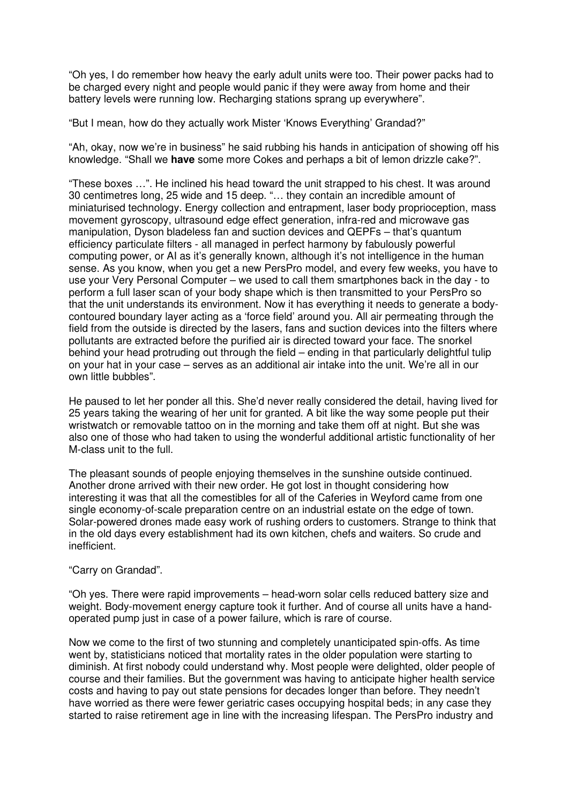"Oh yes, I do remember how heavy the early adult units were too. Their power packs had to be charged every night and people would panic if they were away from home and their battery levels were running low. Recharging stations sprang up everywhere".

"But I mean, how do they actually work Mister 'Knows Everything' Grandad?"

"Ah, okay, now we're in business" he said rubbing his hands in anticipation of showing off his knowledge. "Shall we **have** some more Cokes and perhaps a bit of lemon drizzle cake?".

"These boxes …". He inclined his head toward the unit strapped to his chest. It was around 30 centimetres long, 25 wide and 15 deep. "… they contain an incredible amount of miniaturised technology. Energy collection and entrapment, laser body proprioception, mass movement gyroscopy, ultrasound edge effect generation, infra-red and microwave gas manipulation, Dyson bladeless fan and suction devices and QEPFs – that's quantum efficiency particulate filters - all managed in perfect harmony by fabulously powerful computing power, or AI as it's generally known, although it's not intelligence in the human sense. As you know, when you get a new PersPro model, and every few weeks, you have to use your Very Personal Computer – we used to call them smartphones back in the day - to perform a full laser scan of your body shape which is then transmitted to your PersPro so that the unit understands its environment. Now it has everything it needs to generate a bodycontoured boundary layer acting as a 'force field' around you. All air permeating through the field from the outside is directed by the lasers, fans and suction devices into the filters where pollutants are extracted before the purified air is directed toward your face. The snorkel behind your head protruding out through the field – ending in that particularly delightful tulip on your hat in your case – serves as an additional air intake into the unit. We're all in our own little bubbles".

He paused to let her ponder all this. She'd never really considered the detail, having lived for 25 years taking the wearing of her unit for granted. A bit like the way some people put their wristwatch or removable tattoo on in the morning and take them off at night. But she was also one of those who had taken to using the wonderful additional artistic functionality of her M-class unit to the full.

The pleasant sounds of people enjoying themselves in the sunshine outside continued. Another drone arrived with their new order. He got lost in thought considering how interesting it was that all the comestibles for all of the Caferies in Weyford came from one single economy-of-scale preparation centre on an industrial estate on the edge of town. Solar-powered drones made easy work of rushing orders to customers. Strange to think that in the old days every establishment had its own kitchen, chefs and waiters. So crude and inefficient.

## "Carry on Grandad".

"Oh yes. There were rapid improvements – head-worn solar cells reduced battery size and weight. Body-movement energy capture took it further. And of course all units have a handoperated pump just in case of a power failure, which is rare of course.

Now we come to the first of two stunning and completely unanticipated spin-offs. As time went by, statisticians noticed that mortality rates in the older population were starting to diminish. At first nobody could understand why. Most people were delighted, older people of course and their families. But the government was having to anticipate higher health service costs and having to pay out state pensions for decades longer than before. They needn't have worried as there were fewer geriatric cases occupying hospital beds; in any case they started to raise retirement age in line with the increasing lifespan. The PersPro industry and